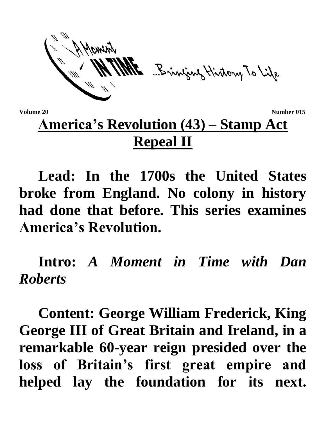ME Bringing History To Life

**Volume 20** Number 015

## **America's Revolution (43) – Stamp Act Repeal II**

**Lead: In the 1700s the United States broke from England. No colony in history had done that before. This series examines America's Revolution.**

**Intro:** *A Moment in Time with Dan Roberts*

**Content: George William Frederick, King George III of Great Britain and Ireland, in a remarkable 60-year reign presided over the loss of Britain's first great empire and helped lay the foundation for its next.**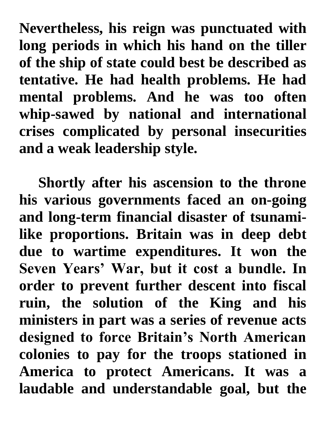**Nevertheless, his reign was punctuated with long periods in which his hand on the tiller of the ship of state could best be described as tentative. He had health problems. He had mental problems. And he was too often whip-sawed by national and international crises complicated by personal insecurities and a weak leadership style.** 

**Shortly after his ascension to the throne his various governments faced an on-going and long-term financial disaster of tsunamilike proportions. Britain was in deep debt due to wartime expenditures. It won the Seven Years' War, but it cost a bundle. In order to prevent further descent into fiscal ruin, the solution of the King and his ministers in part was a series of revenue acts designed to force Britain's North American colonies to pay for the troops stationed in America to protect Americans. It was a laudable and understandable goal, but the**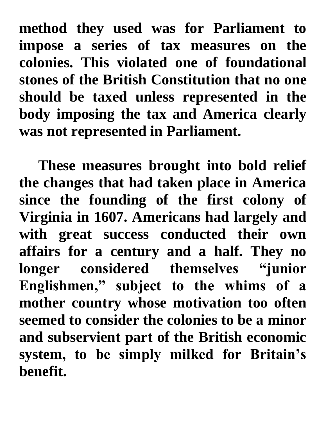**method they used was for Parliament to impose a series of tax measures on the colonies. This violated one of foundational stones of the British Constitution that no one should be taxed unless represented in the body imposing the tax and America clearly was not represented in Parliament.** 

**These measures brought into bold relief the changes that had taken place in America since the founding of the first colony of Virginia in 1607. Americans had largely and with great success conducted their own affairs for a century and a half. They no longer considered themselves "junior Englishmen," subject to the whims of a mother country whose motivation too often seemed to consider the colonies to be a minor and subservient part of the British economic system, to be simply milked for Britain's benefit.**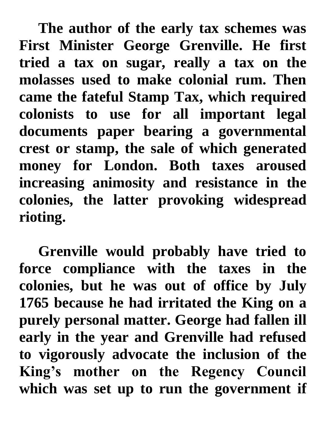**The author of the early tax schemes was First Minister George Grenville. He first tried a tax on sugar, really a tax on the molasses used to make colonial rum. Then came the fateful Stamp Tax, which required colonists to use for all important legal documents paper bearing a governmental crest or stamp, the sale of which generated money for London. Both taxes aroused increasing animosity and resistance in the colonies, the latter provoking widespread rioting.**

**Grenville would probably have tried to force compliance with the taxes in the colonies, but he was out of office by July 1765 because he had irritated the King on a purely personal matter. George had fallen ill early in the year and Grenville had refused to vigorously advocate the inclusion of the King's mother on the Regency Council which was set up to run the government if**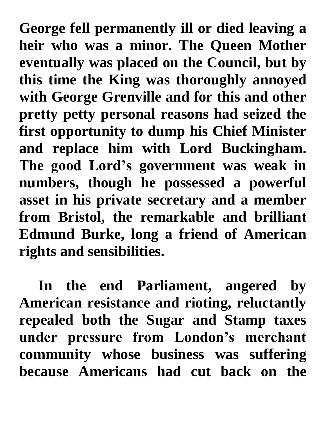**George fell permanently ill or died leaving a heir who was a minor. The Queen Mother eventually was placed on the Council, but by this time the King was thoroughly annoyed with George Grenville and for this and other pretty petty personal reasons had seized the first opportunity to dump his Chief Minister and replace him with Lord Buckingham. The good Lord's government was weak in numbers, though he possessed a powerful asset in his private secretary and a member from Bristol, the remarkable and brilliant Edmund Burke, long a friend of American rights and sensibilities.** 

**In the end Parliament, angered by American resistance and rioting, reluctantly repealed both the Sugar and Stamp taxes under pressure from London's merchant community whose business was suffering because Americans had cut back on the**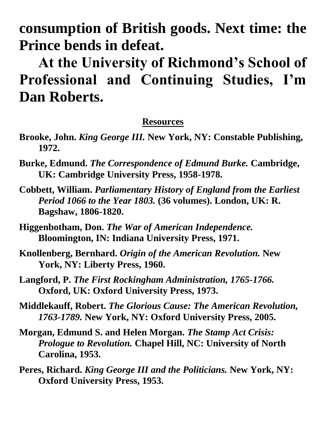**consumption of British goods. Next time: the Prince bends in defeat.**

**At the University of Richmond's School of Professional and Continuing Studies, I'm Dan Roberts.**

## **Resources**

- **Brooke, John.** *King George III.* **New York, NY: Constable Publishing, 1972.**
- **Burke, Edmund.** *The Correspondence of Edmund Burke.* **Cambridge, UK: Cambridge University Press, 1958-1978.**
- **Cobbett, William.** *Parliamentary History of England from the Earliest Period 1066 to the Year 1803.* **(36 volumes). London, UK: R. Bagshaw, 1806-1820.**
- **Higgenbotham, Don.** *The War of American Independence.*  **Bloomington, IN: Indiana University Press, 1971.**
- **Knollenberg, Bernhard.** *Origin of the American Revolution.* **New York, NY: Liberty Press, 1960.**
- **Langford, P.** *The First Rockingham Administration, 1765-1766.*  **Oxford, UK: Oxford University Press, 1973.**
- **Middlekauff, Robert.** *The Glorious Cause: The American Revolution, 1763-1789.* **New York, NY: Oxford University Press, 2005.**
- **Morgan, Edmund S. and Helen Morgan.** *The Stamp Act Crisis: Prologue to Revolution.* **Chapel Hill, NC: University of North Carolina, 1953.**
- **Peres, Richard.** *King George III and the Politicians.* **New York, NY: Oxford University Press, 1953.**